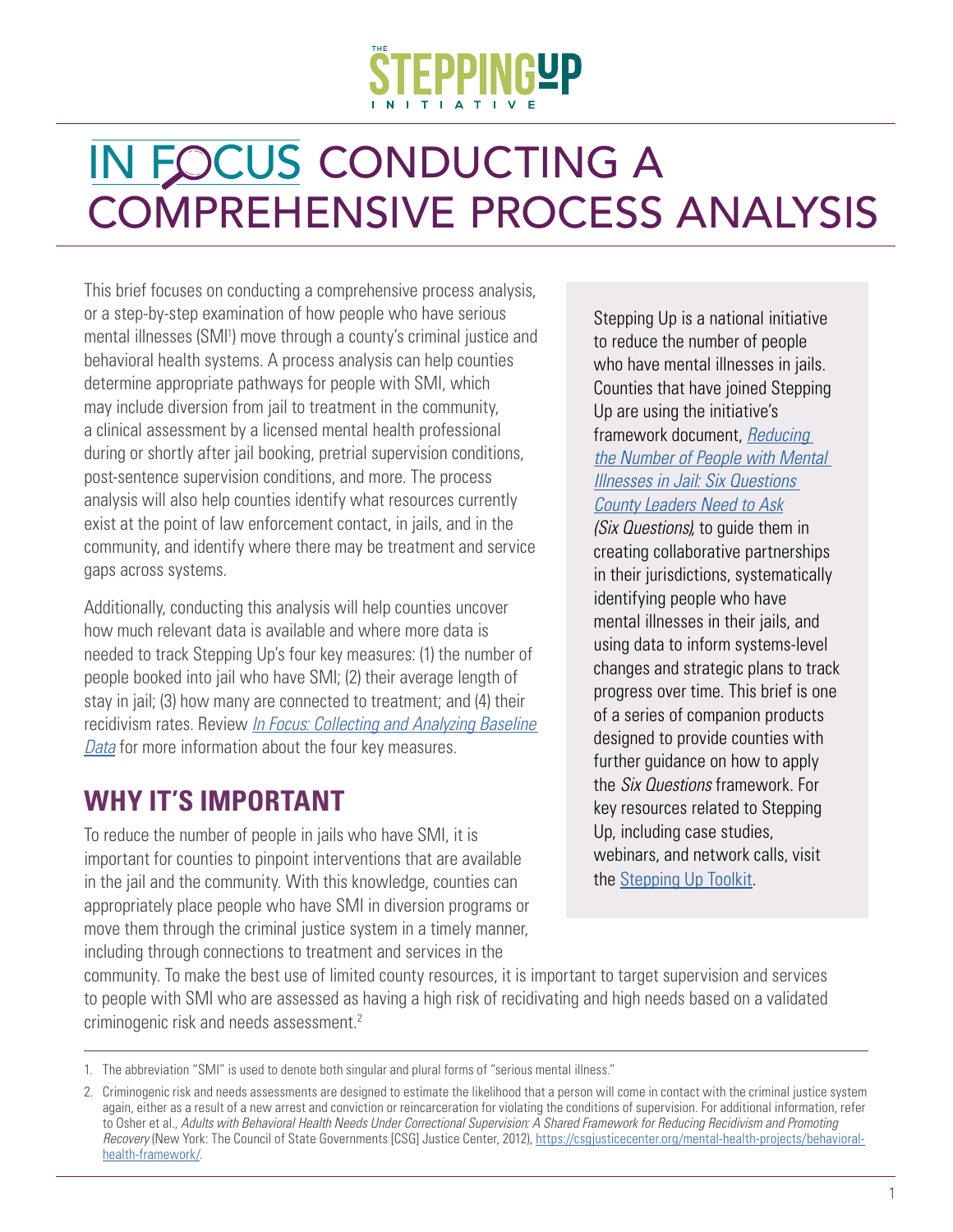# IN FOCUS CONDUCTING A COMPREHENSIVE PROCESS ANALYSIS

This brief focuses on conducting a comprehensive process analysis, or a step-by-step examination of how people who have serious mental illnesses (SMI<sup>1</sup>) move through a county's criminal justice and behavioral health systems. A process analysis can help counties determine appropriate pathways for people with SMI, which may include diversion from jail to treatment in the community, a clinical assessment by a licensed mental health professional during or shortly after jail booking, pretrial supervision conditions, post-sentence supervision conditions, and more. The process analysis will also help counties identify what resources currently exist at the point of law enforcement contact, in jails, and in the community, and identify where there may be treatment and service gaps across systems.

Additionally, conducting this analysis will help counties uncover how much relevant data is available and where more data is needed to track Stepping Up's four key measures: (1) the number of people booked into jail who have SMI; (2) their average length of stay in jail; (3) how many are connected to treatment; and (4) their recidivism rates. Review *[In Focus: Collecting and Analyzing Baseline](https://csgjusticecenter.org/mental-health/publications/in-focus-collecting-and-analyzing-baseline-data/)  [Data](https://csgjusticecenter.org/mental-health/publications/in-focus-collecting-and-analyzing-baseline-data/)* for more information about the four key measures.

# **WHY IT'S IMPORTANT**

To reduce the number of people in jails who have SMI, it is important for counties to pinpoint interventions that are available in the jail and the community. With this knowledge, counties can appropriately place people who have SMI in diversion programs or move them through the criminal justice system in a timely manner, including through connections to treatment and services in the

Stepping Up is a national initiative to reduce the number of people who have mental illnesses in jails. Counties that have joined Stepping Up are using the initiative's framework document, *[Reducing](https://stepuptogether.org/wp-content/uploads/2017/01/Reducing-the-Number-of-People-with-Mental-Illnesses-in-Jail_Six-Questions.pdf)  [the Number of People with Mental](https://stepuptogether.org/wp-content/uploads/2017/01/Reducing-the-Number-of-People-with-Mental-Illnesses-in-Jail_Six-Questions.pdf)  [Illnesses in Jail: Six Questions](https://stepuptogether.org/wp-content/uploads/2017/01/Reducing-the-Number-of-People-with-Mental-Illnesses-in-Jail_Six-Questions.pdf)  [County Leaders Need to Ask](https://stepuptogether.org/wp-content/uploads/2017/01/Reducing-the-Number-of-People-with-Mental-Illnesses-in-Jail_Six-Questions.pdf) (Six Questions)*, to guide them in creating collaborative partnerships in their jurisdictions, systematically identifying people who have mental illnesses in their jails, and using data to inform systems-level

changes and strategic plans to track progress over time. This brief is one of a series of companion products designed to provide counties with further guidance on how to apply the *Six Questions* framework. For key resources related to Stepping Up, including case studies, webinars, and network calls, visit the [Stepping Up Toolkit](https://stepuptogether.org/toolkit).

community. To make the best use of limited county resources, it is important to target supervision and services to people with SMI who are assessed as having a high risk of recidivating and high needs based on a validated criminogenic risk and needs assessment.<sup>2</sup>

<sup>1.</sup> The abbreviation "SMI" is used to denote both singular and plural forms of "serious mental illness."

<sup>2.</sup> Criminogenic risk and needs assessments are designed to estimate the likelihood that a person will come in contact with the criminal justice system again, either as a result of a new arrest and conviction or reincarceration for violating the conditions of supervision. For additional information, refer to Osher et al., *Adults with Behavioral Health Needs Under Correctional Supervision: A Shared Framework for Reducing Recidivism and Promoting Recovery* (New York: The Council of State Governments [CSG] Justice Center, 2012), [https://csgjusticecenter.org/mental-health-projects/behavioral](https://csgjusticecenter.org/mental-health-projects/behavioral-health-framework/)[health-framework/](https://csgjusticecenter.org/mental-health-projects/behavioral-health-framework/).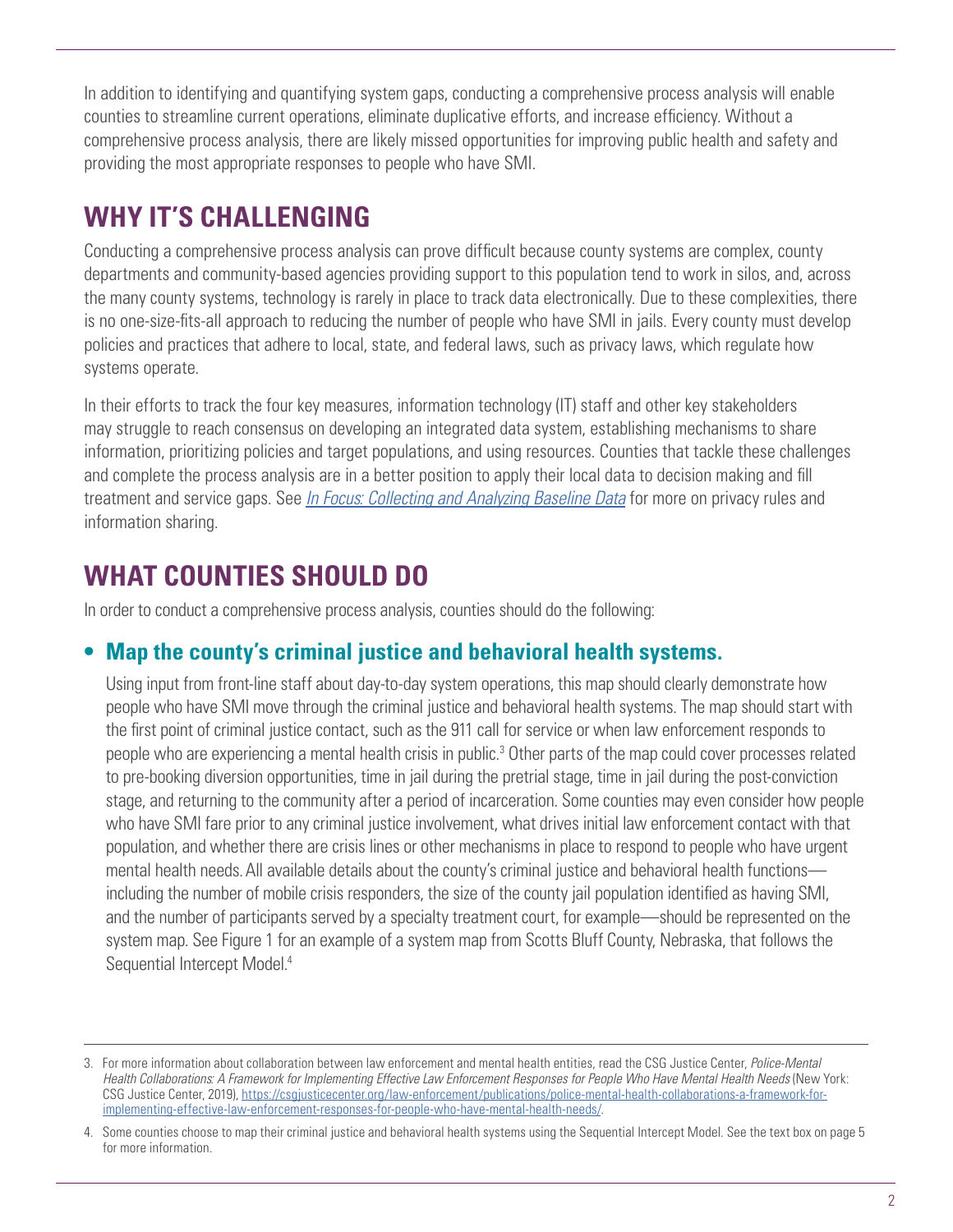In addition to identifying and quantifying system gaps, conducting a comprehensive process analysis will enable counties to streamline current operations, eliminate duplicative efforts, and increase efficiency. Without a comprehensive process analysis, there are likely missed opportunities for improving public health and safety and providing the most appropriate responses to people who have SMI.

# **WHY IT'S CHALLENGING**

Conducting a comprehensive process analysis can prove difficult because county systems are complex, county departments and community-based agencies providing support to this population tend to work in silos, and, across the many county systems, technology is rarely in place to track data electronically. Due to these complexities, there is no one-size-fits-all approach to reducing the number of people who have SMI in jails. Every county must develop policies and practices that adhere to local, state, and federal laws, such as privacy laws, which regulate how systems operate.

In their efforts to track the four key measures, information technology (IT) staff and other key stakeholders may struggle to reach consensus on developing an integrated data system, establishing mechanisms to share information, prioritizing policies and target populations, and using resources. Counties that tackle these challenges and complete the process analysis are in a better position to apply their local data to decision making and fill treatment and service gaps. See *[In Focus: Collecting and Analyzing Baseline Data](https://csgjusticecenter.org/mental-health/publications/in-focus-collecting-and-analyzing-baseline-data/)* for more on privacy rules and information sharing.

# **WHAT COUNTIES SHOULD DO**

In order to conduct a comprehensive process analysis, counties should do the following:

### **• Map the county's criminal justice and behavioral health systems.**

Using input from front-line staff about day-to-day system operations, this map should clearly demonstrate how people who have SMI move through the criminal justice and behavioral health systems. The map should start with the first point of criminal justice contact, such as the 911 call for service or when law enforcement responds to people who are experiencing a mental health crisis in public.<sup>3</sup> Other parts of the map could cover processes related to pre-booking diversion opportunities, time in jail during the pretrial stage, time in jail during the post-conviction stage, and returning to the community after a period of incarceration. Some counties may even consider how people who have SMI fare prior to any criminal justice involvement, what drives initial law enforcement contact with that population, and whether there are crisis lines or other mechanisms in place to respond to people who have urgent mental health needs.All available details about the county's criminal justice and behavioral health functions including the number of mobile crisis responders, the size of the county jail population identified as having SMI, and the number of participants served by a specialty treatment court, for example—should be represented on the system map. See Figure 1 for an example of a system map from Scotts Bluff County, Nebraska, that follows the Sequential Intercept Model.<sup>4</sup>

<sup>3.</sup> For more information about collaboration between law enforcement and mental health entities, read the CSG Justice Center, *Police-Mental Health Collaborations: A Framework for Implementing Effective Law Enforcement Responses for People Who Have Mental Health Needs* (New York: CSG Justice Center, 2019), [https://csgjusticecenter.org/law-enforcement/publications/police-mental-health-collaborations-a-framework-for](https://csgjusticecenter.org/law-enforcement/publications/police-mental-health-collaborations-a-framework-for-implementing-effective-law-enforcement-responses-for-people-who-have-mental-health-needs/)[implementing-effective-law-enforcement-responses-for-people-who-have-mental-health-needs/](https://csgjusticecenter.org/law-enforcement/publications/police-mental-health-collaborations-a-framework-for-implementing-effective-law-enforcement-responses-for-people-who-have-mental-health-needs/).

<sup>4.</sup> Some counties choose to map their criminal justice and behavioral health systems using the Sequential Intercept Model. See the text box on page 5 for more information.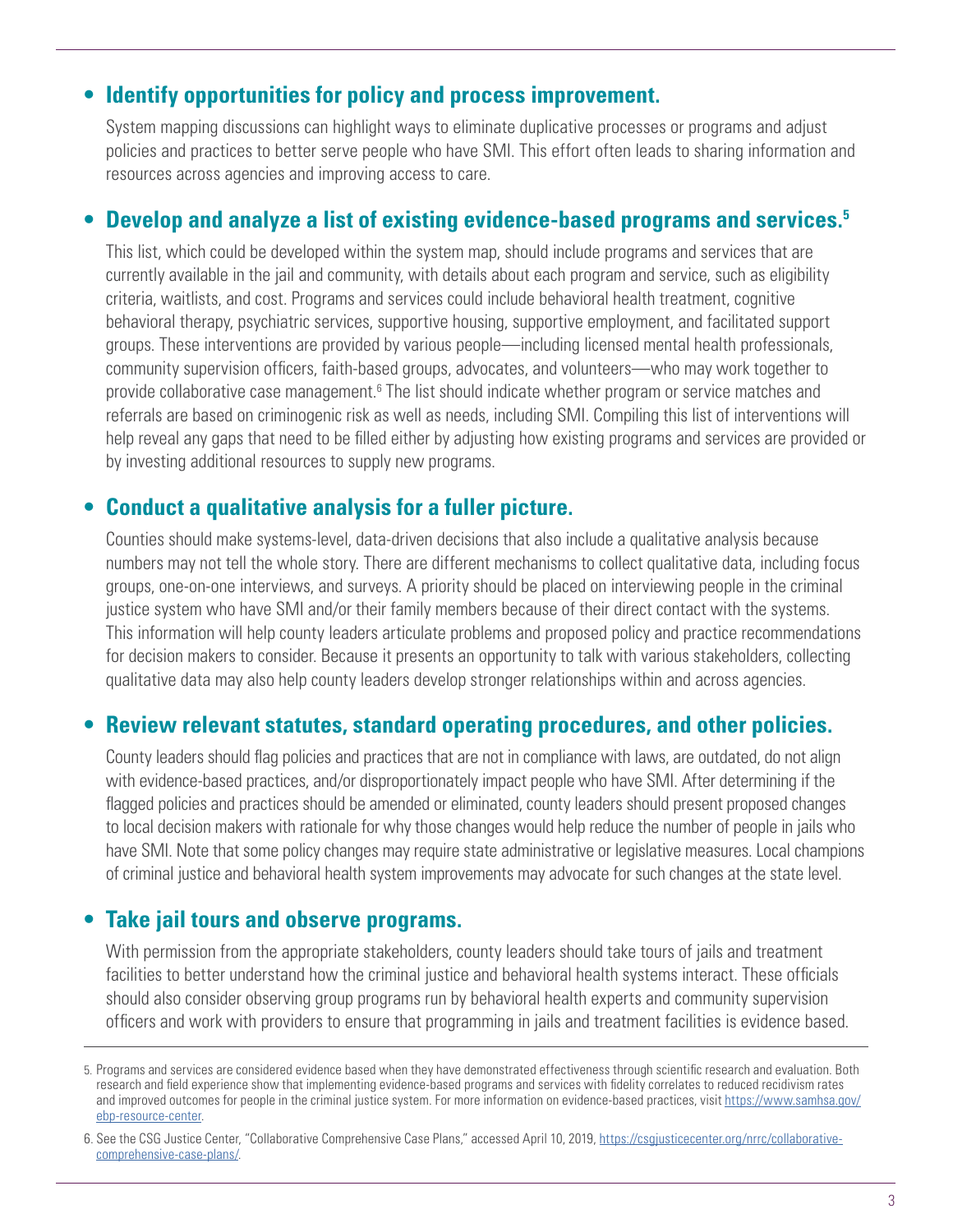#### **• Identify opportunities for policy and process improvement.**

System mapping discussions can highlight ways to eliminate duplicative processes or programs and adjust policies and practices to better serve people who have SMI. This effort often leads to sharing information and resources across agencies and improving access to care.

#### **• Develop and analyze a list of existing evidence-based programs and services.5**

This list, which could be developed within the system map, should include programs and services that are currently available in the jail and community, with details about each program and service, such as eligibility criteria, waitlists, and cost. Programs and services could include behavioral health treatment, cognitive behavioral therapy, psychiatric services, supportive housing, supportive employment, and facilitated support groups. These interventions are provided by various people—including licensed mental health professionals, community supervision officers, faith-based groups, advocates, and volunteers—who may work together to provide collaborative case management.<sup>6</sup> The list should indicate whether program or service matches and referrals are based on criminogenic risk as well as needs, including SMI. Compiling this list of interventions will help reveal any gaps that need to be filled either by adjusting how existing programs and services are provided or by investing additional resources to supply new programs.

#### **• Conduct a qualitative analysis for a fuller picture.**

Counties should make systems-level, data-driven decisions that also include a qualitative analysis because numbers may not tell the whole story. There are different mechanisms to collect qualitative data, including focus groups, one-on-one interviews, and surveys. A priority should be placed on interviewing people in the criminal justice system who have SMI and/or their family members because of their direct contact with the systems. This information will help county leaders articulate problems and proposed policy and practice recommendations for decision makers to consider. Because it presents an opportunity to talk with various stakeholders, collecting qualitative data may also help county leaders develop stronger relationships within and across agencies.

#### **• Review relevant statutes, standard operating procedures, and other policies.**

County leaders should flag policies and practices that are not in compliance with laws, are outdated, do not align with evidence-based practices, and/or disproportionately impact people who have SMI. After determining if the flagged policies and practices should be amended or eliminated, county leaders should present proposed changes to local decision makers with rationale for why those changes would help reduce the number of people in jails who have SMI. Note that some policy changes may require state administrative or legislative measures. Local champions of criminal justice and behavioral health system improvements may advocate for such changes at the state level.

#### **• Take jail tours and observe programs.**

With permission from the appropriate stakeholders, county leaders should take tours of jails and treatment facilities to better understand how the criminal justice and behavioral health systems interact. These officials should also consider observing group programs run by behavioral health experts and community supervision officers and work with providers to ensure that programming in jails and treatment facilities is evidence based.

<sup>5.</sup> Programs and services are considered evidence based when they have demonstrated effectiveness through scientific research and evaluation. Both research and field experience show that implementing evidence-based programs and services with fidelity correlates to reduced recidivism rates and improved outcomes for people in the criminal justice system. For more information on evidence-based practices, visit [https://www.samhsa.gov/](https://www.samhsa.gov/ebp-resource-center) [ebp-resource-center](https://www.samhsa.gov/ebp-resource-center).

<sup>6.</sup> See the CSG Justice Center, "Collaborative Comprehensive Case Plans," accessed April 10, 2019, [https://csgjusticecenter.org/nrrc/collaborative](https://csgjusticecenter.org/nrrc/collaborative-comprehensive-case-plans/)[comprehensive-case-plans/](https://csgjusticecenter.org/nrrc/collaborative-comprehensive-case-plans/).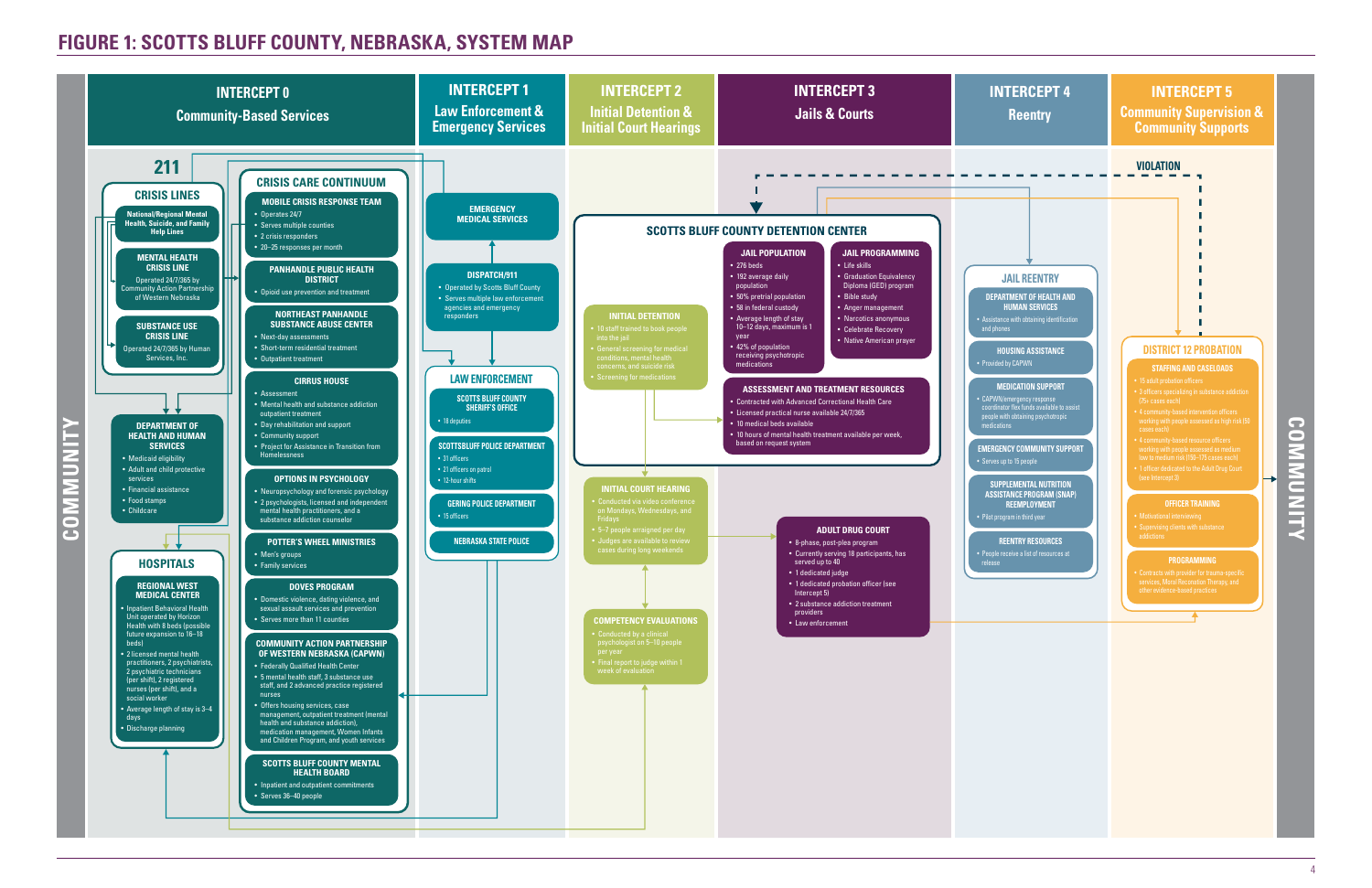

## **FIGURE 1: SCOTTS BLUFF COUNTY, NEBRASKA, SYSTEM MAP**